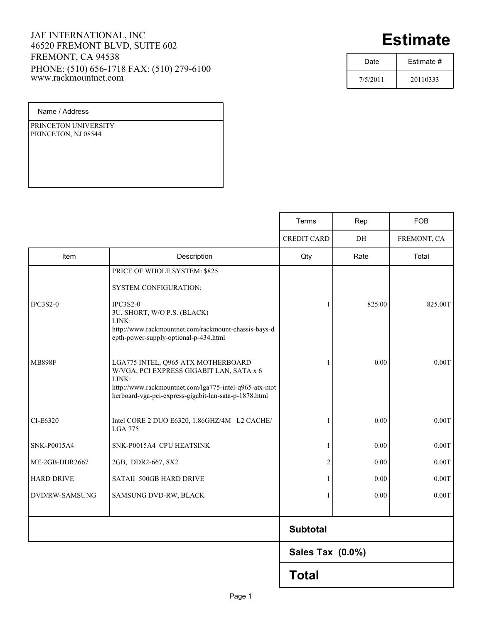## JAF INTERNATIONAL, INC 46520 FREMONT BLVD, SUITE 602 FREMONT, CA 94538 PHONE: (510) 656-1718 FAX: (510) 279-6100 www.rackmountnet.com

## **Estimate**

| Date     | Estimate # |  |
|----------|------------|--|
| 7/5/2011 | 20110333   |  |

Name / Address

PRINCETON UNIVERSITY PRINCETON, NJ 08544

|                   |                                                                                                                                                                                                           | Terms              | Rep    | <b>FOB</b>  |
|-------------------|-----------------------------------------------------------------------------------------------------------------------------------------------------------------------------------------------------------|--------------------|--------|-------------|
|                   |                                                                                                                                                                                                           | <b>CREDIT CARD</b> | DH     | FREMONT, CA |
| Item              | Description                                                                                                                                                                                               | Qty                | Rate   | Total       |
|                   | PRICE OF WHOLE SYSTEM: \$825                                                                                                                                                                              |                    |        |             |
|                   | <b>SYSTEM CONFIGURATION:</b>                                                                                                                                                                              |                    |        |             |
| <b>IPC3S2-0</b>   | $IPC3S2-0$<br>3U, SHORT, W/O P.S. (BLACK)<br>LINK:<br>http://www.rackmountnet.com/rackmount-chassis-bays-d<br>epth-power-supply-optional-p-434.html                                                       | -1                 | 825.00 | 825.00T     |
| <b>MB898F</b>     | LGA775 INTEL, Q965 ATX MOTHERBOARD<br>W/VGA, PCI EXPRESS GIGABIT LAN, SATA x 6<br>LINK:<br>http://www.rackmountnet.com/lga775-intel-q965-atx-mot<br>herboard-vga-pci-express-gigabit-lan-sata-p-1878.html |                    | 0.00   | 0.00T       |
| CI-E6320          | Intel CORE 2 DUO E6320, 1.86GHZ/4M L2 CACHE/<br><b>LGA 775</b>                                                                                                                                            |                    | 0.00   | 0.00T       |
| SNK-P0015A4       | SNK-P0015A4 CPU HEATSINK                                                                                                                                                                                  |                    | 0.00   | 0.00T       |
| ME-2GB-DDR2667    | 2GB, DDR2-667, 8X2                                                                                                                                                                                        | $\overline{2}$     | 0.00   | 0.00T       |
| <b>HARD DRIVE</b> | SATAII 500GB HARD DRIVE                                                                                                                                                                                   | 1                  | 0.00   | 0.00T       |
| DVD/RW-SAMSUNG    | SAMSUNG DVD-RW, BLACK                                                                                                                                                                                     | -1                 | 0.00   | 0.00T       |
|                   |                                                                                                                                                                                                           | <b>Subtotal</b>    |        |             |
|                   |                                                                                                                                                                                                           | Sales Tax (0.0%)   |        |             |
|                   |                                                                                                                                                                                                           | <b>Total</b>       |        |             |